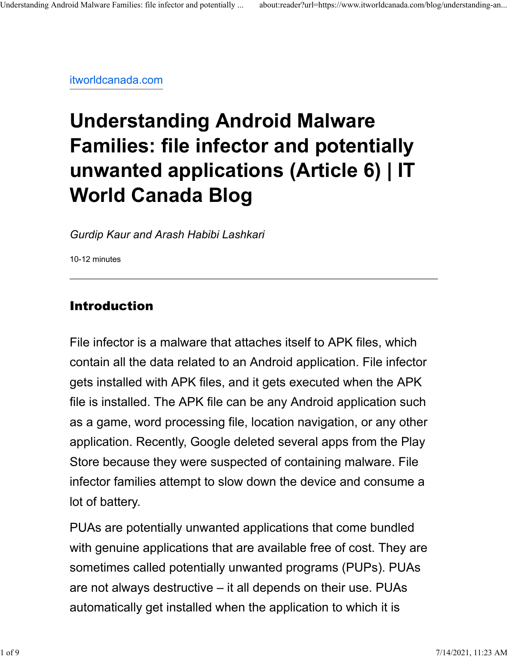itworldcanada.com

# **Understanding Android Malware Families: file infector and potentially unwanted applications (Article 6) | IT World Canada Blog**

*Gurdip Kaur and Arash Habibi Lashkari*

10-12 minutes

#### Introduction

File infector is a malware that attaches itself to APK files, which contain all the data related to an Android application. File infector gets installed with APK files, and it gets executed when the APK file is installed. The APK file can be any Android application such as a game, word processing file, location navigation, or any other application. Recently, Google deleted several apps from the Play Store because they were suspected of containing malware. File infector families attempt to slow down the device and consume a lot of battery.

PUAs are potentially unwanted applications that come bundled with genuine applications that are available free of cost. They are sometimes called potentially unwanted programs (PUPs). PUAs are not always destructive – it all depends on their use. PUAs automatically get installed when the application to which it is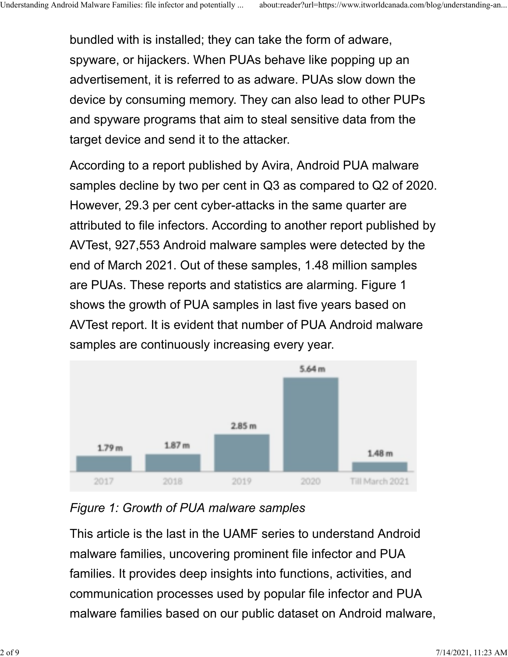bundled with is installed; they can take the form of adware, spyware, or hijackers. When PUAs behave like popping up an advertisement, it is referred to as adware. PUAs slow down the device by consuming memory. They can also lead to other PUPs and spyware programs that aim to steal sensitive data from the target device and send it to the attacker.

According to a report published by Avira, Android PUA malware samples decline by two per cent in Q3 as compared to Q2 of 2020. However, 29.3 per cent cyber-attacks in the same quarter are attributed to file infectors. According to another report published by AVTest, 927,553 Android malware samples were detected by the end of March 2021. Out of these samples, 1.48 million samples are PUAs. These reports and statistics are alarming. Figure 1 shows the growth of PUA samples in last five years based on AVTest report. It is evident that number of PUA Android malware samples are continuously increasing every year.



## *Figure 1: Growth of PUA malware samples*

This article is the last in the UAMF series to understand Android malware families, uncovering prominent file infector and PUA families. It provides deep insights into functions, activities, and communication processes used by popular file infector and PUA malware families based on our public dataset on Android malware,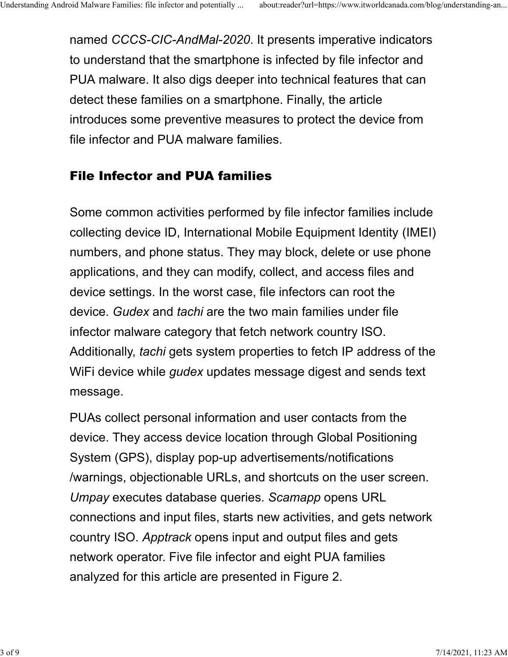named *CCCS-CIC-AndMal-2020*. It presents imperative indicators to understand that the smartphone is infected by file infector and PUA malware. It also digs deeper into technical features that can detect these families on a smartphone. Finally, the article introduces some preventive measures to protect the device from file infector and PUA malware families.

# File Infector and PUA families

Some common activities performed by file infector families include collecting device ID, International Mobile Equipment Identity (IMEI) numbers, and phone status. They may block, delete or use phone applications, and they can modify, collect, and access files and device settings. In the worst case, file infectors can root the device. *Gudex* and *tachi* are the two main families under file infector malware category that fetch network country ISO. Additionally, *tachi* gets system properties to fetch IP address of the WiFi device while *gudex* updates message digest and sends text message.

PUAs collect personal information and user contacts from the device. They access device location through Global Positioning System (GPS), display pop-up advertisements/notifications /warnings, objectionable URLs, and shortcuts on the user screen. *Umpay* executes database queries. *Scamapp* opens URL connections and input files, starts new activities, and gets network country ISO. *Apptrack* opens input and output files and gets network operator. Five file infector and eight PUA families analyzed for this article are presented in Figure 2.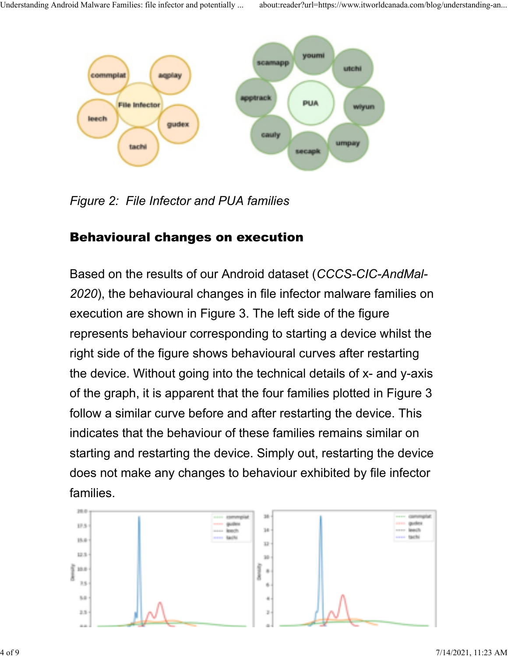

*Figure 2: File Infector and PUA families*

# Behavioural changes on execution

Based on the results of our Android dataset (*CCCS-CIC-AndMal-2020*), the behavioural changes in file infector malware families on execution are shown in Figure 3. The left side of the figure represents behaviour corresponding to starting a device whilst the right side of the figure shows behavioural curves after restarting the device. Without going into the technical details of x- and y-axis of the graph, it is apparent that the four families plotted in Figure 3 follow a similar curve before and after restarting the device. This indicates that the behaviour of these families remains similar on starting and restarting the device. Simply out, restarting the device does not make any changes to behaviour exhibited by file infector families.

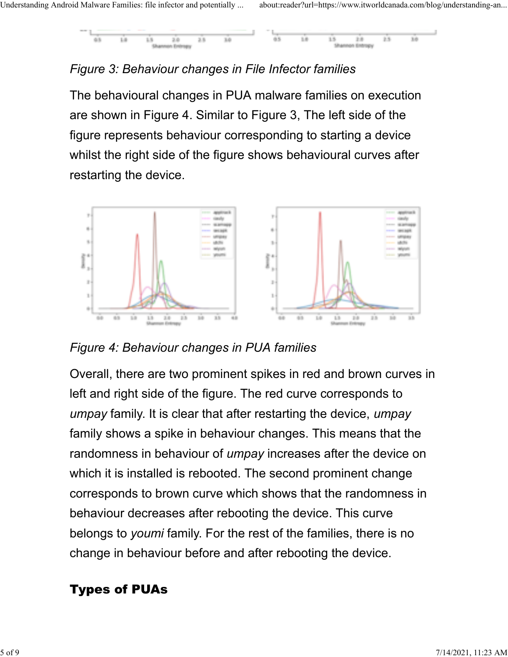

## *Figure 3: Behaviour changes in File Infector families*

The behavioural changes in PUA malware families on execution are shown in Figure 4. Similar to Figure 3, The left side of the figure represents behaviour corresponding to starting a device whilst the right side of the figure shows behavioural curves after restarting the device.



*Figure 4: Behaviour changes in PUA families*

Overall, there are two prominent spikes in red and brown curves in left and right side of the figure. The red curve corresponds to *umpay* family. It is clear that after restarting the device, *umpay* family shows a spike in behaviour changes. This means that the randomness in behaviour of *umpay* increases after the device on which it is installed is rebooted. The second prominent change corresponds to brown curve which shows that the randomness in behaviour decreases after rebooting the device. This curve belongs to *youmi* family. For the rest of the families, there is no change in behaviour before and after rebooting the device.

# Types of PUAs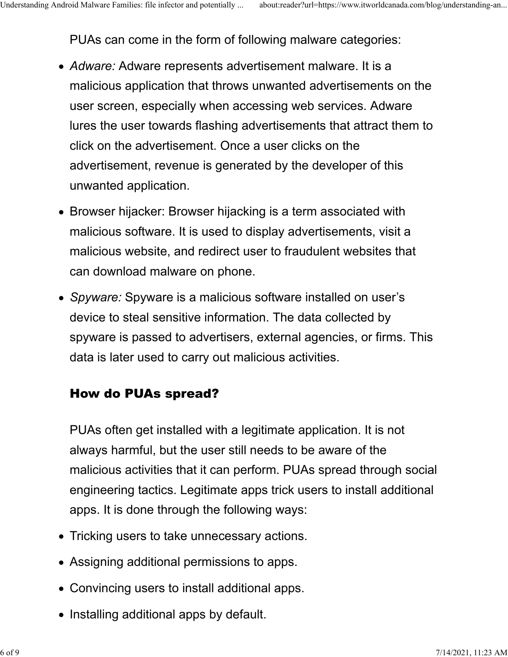PUAs can come in the form of following malware categories:

- *Adware:* Adware represents advertisement malware. It is a malicious application that throws unwanted advertisements on the user screen, especially when accessing web services. Adware lures the user towards flashing advertisements that attract them to click on the advertisement. Once a user clicks on the advertisement, revenue is generated by the developer of this unwanted application.
- Browser hijacker: Browser hijacking is a term associated with malicious software. It is used to display advertisements, visit a malicious website, and redirect user to fraudulent websites that can download malware on phone.
- *Spyware:* Spyware is a malicious software installed on user's device to steal sensitive information. The data collected by spyware is passed to advertisers, external agencies, or firms. This data is later used to carry out malicious activities.

#### How do PUAs spread?

PUAs often get installed with a legitimate application. It is not always harmful, but the user still needs to be aware of the malicious activities that it can perform. PUAs spread through social engineering tactics. Legitimate apps trick users to install additional apps. It is done through the following ways:

- Tricking users to take unnecessary actions.
- Assigning additional permissions to apps.
- Convincing users to install additional apps.
- Installing additional apps by default.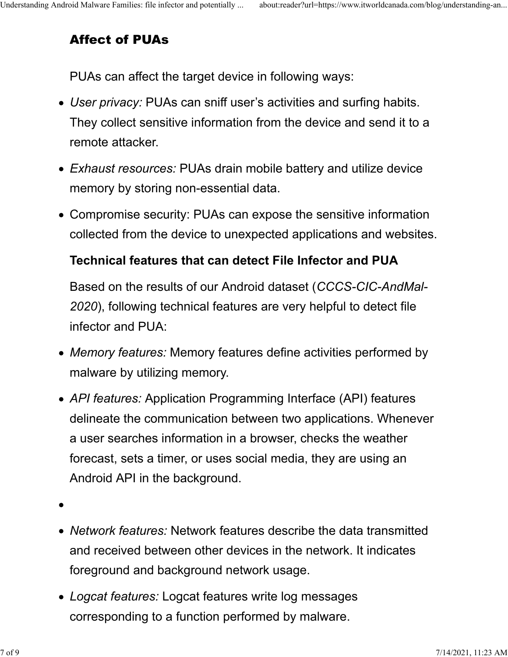# Affect of PUAs

PUAs can affect the target device in following ways:

- *User privacy:* PUAs can sniff user's activities and surfing habits. They collect sensitive information from the device and send it to a remote attacker.
- *Exhaust resources:* PUAs drain mobile battery and utilize device memory by storing non-essential data.
- Compromise security: PUAs can expose the sensitive information collected from the device to unexpected applications and websites.

# **Technical features that can detect File Infector and PUA**

Based on the results of our Android dataset (*CCCS-CIC-AndMal-2020*), following technical features are very helpful to detect file infector and PUA:

- *Memory features:* Memory features define activities performed by malware by utilizing memory.
- *API features:* Application Programming Interface (API) features delineate the communication between two applications. Whenever a user searches information in a browser, checks the weather forecast, sets a timer, or uses social media, they are using an Android API in the background.
- 
- *Network features:* Network features describe the data transmitted and received between other devices in the network. It indicates foreground and background network usage.
- *Logcat features:* Logcat features write log messages corresponding to a function performed by malware.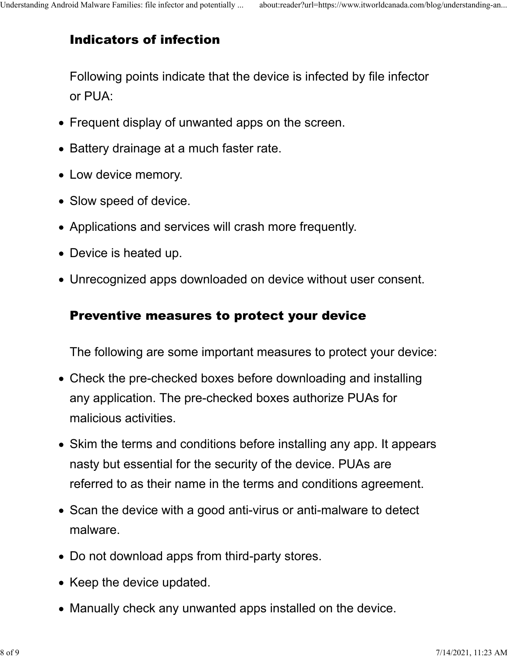# Indicators of infection

Following points indicate that the device is infected by file infector or PUA:

- Frequent display of unwanted apps on the screen.
- Battery drainage at a much faster rate.
- Low device memory.
- Slow speed of device.
- Applications and services will crash more frequently.
- Device is heated up.
- Unrecognized apps downloaded on device without user consent.

# Preventive measures to protect your device

The following are some important measures to protect your device:

- Check the pre-checked boxes before downloading and installing any application. The pre-checked boxes authorize PUAs for malicious activities.
- Skim the terms and conditions before installing any app. It appears nasty but essential for the security of the device. PUAs are referred to as their name in the terms and conditions agreement.
- Scan the device with a good anti-virus or anti-malware to detect malware.
- Do not download apps from third-party stores.
- Keep the device updated.
- Manually check any unwanted apps installed on the device.